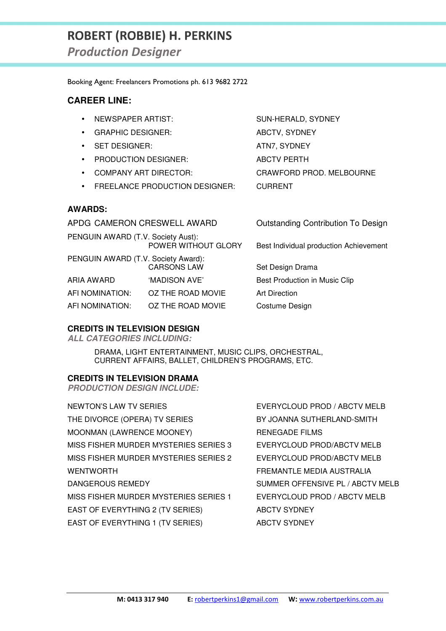# **ROBERT (ROBBIE) H. PERKINS**

*Production Designer* 

Booking Agent: Freelancers Promotions ph. 613 9682 2722

#### **CAREER LINE:**

- NEWSPAPER ARTIST: SUN-HERALD, SYDNEY
- GRAPHIC DESIGNER: ABCTV, SYDNEY
- SET DESIGNER: ATN7, SYDNEY
- PRODUCTION DESIGNER: ABCTV PERTH
- COMPANY ART DIRECTOR: CRAWFORD PROD. MELBOURNE
- FREELANCE PRODUCTION DESIGNER: CURRENT

#### **AWARDS:**

| APDG CAMERON CRESWELL AWARD         |                     | <b>Outstanding Contribution To Design</b> |
|-------------------------------------|---------------------|-------------------------------------------|
| PENGUIN AWARD (T.V. Society Aust):  | POWER WITHOUT GLORY | Best Individual production Achievement    |
| PENGUIN AWARD (T.V. Society Award): | <b>CARSONS LAW</b>  | Set Design Drama                          |
| ARIA AWARD                          | 'MADISON AVE'       | Best Production in Music Clip             |
| AFI NOMINATION:                     | OZ THE ROAD MOVIE   | <b>Art Direction</b>                      |
| AFI NOMINATION:                     | OZ THE ROAD MOVIE   | Costume Design                            |

#### **CREDITS IN TELEVISION DESIGN**

**ALL CATEGORIES INCLUDING:** 

DRAMA, LIGHT ENTERTAINMENT, MUSIC CLIPS, ORCHESTRAL, CURRENT AFFAIRS, BALLET, CHILDREN'S PROGRAMS, ETC.

#### **CREDITS IN TELEVISION DRAMA**

**PRODUCTION DESIGN INCLUDE:** 

NEWTON'S LAW TV SERIES EVERYCLOUD PROD / ABCTV MELB THE DIVORCE (OPERA) TV SERIES BY JOANNA SUTHERLAND-SMITH MOONMAN (LAWRENCE MOONEY) RENEGADE FILMS MISS FISHER MURDER MYSTERIES SERIES 3 EVERYCLOUD PROD/ABCTV MELB MISS FISHER MURDER MYSTERIES SERIES 2 EVERYCLOUD PROD/ABCTV MELB WENTWORTH **EXECUTE IN THE SECOND TEREMANTLE MEDIA AUSTRALIA** DANGEROUS REMEDY SUMMER OFFENSIVE PL / ABCTV MELB MISS FISHER MURDER MYSTERIES SERIES 1 EVERYCLOUD PROD / ABCTV MELB EAST OF EVERYTHING 2 (TV SERIES) ABCTV SYDNEY EAST OF EVERYTHING 1 (TV SERIES) ABCTV SYDNEY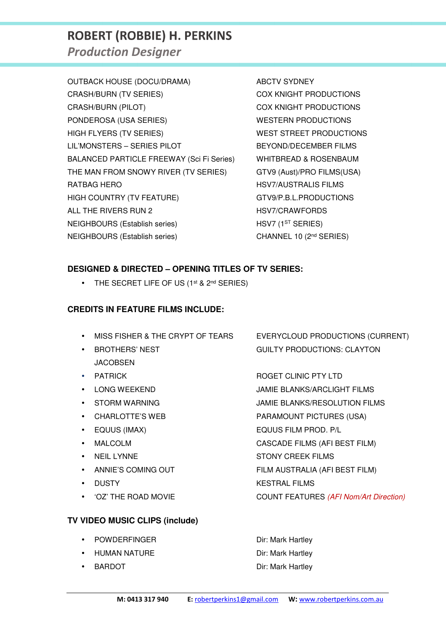# **ROBERT (ROBBIE) H. PERKINS**

*Production Designer* 

OUTBACK HOUSE (DOCU/DRAMA) ABCTV SYDNEY CRASH/BURN (TV SERIES) COX KNIGHT PRODUCTIONS CRASH/BURN (PILOT) COX KNIGHT PRODUCTIONS PONDEROSA (USA SERIES) WESTERN PRODUCTIONS HIGH FLYERS (TV SERIES) WEST STREET PRODUCTIONS LIL'MONSTERS – SERIES PILOT BEYOND/DECEMBER FILMS BALANCED PARTICLE FREEWAY (Sci Fi Series) WHITBREAD & ROSENBAUM THE MAN FROM SNOWY RIVER (TV SERIES) GTV9 (Aust)/PRO FILMS(USA) RATBAG HERO **HERO HSV7/AUSTRALIS FILMS** HIGH COUNTRY (TV FEATURE) GTV9/P.B.L.PRODUCTIONS ALL THE RIVERS RUN 2 HSV7/CRAWFORDS NEIGHBOURS (Establish series) HSV7 (1<sup>ST</sup> SERIES) NEIGHBOURS (Establish series) CHANNEL 10 (2<sup>nd</sup> SERIES)

## **DESIGNED & DIRECTED – OPENING TITLES OF TV SERIES:**

• THE SECRET LIFE OF US (1st & 2nd SERIES)

### **CREDITS IN FEATURE FILMS INCLUDE:**

- 
- **JACOBSEN**
- 
- 
- STORM WARNING JAMIE BLANKS/RESOLUTION FILMS
- CHARLOTTE'S WEB PARAMOUNT PICTURES (USA)
- EQUUS (IMAX) EQUUS FILM PROD. P/L
- 
- 
- 
- 
- 

## **TV VIDEO MUSIC CLIPS (include)**

- **POWDERFINGER Dir: Mark Hartley**
- HUMAN NATURE **Direct State State** Point Mark Hartley
- 

• MISS FISHER & THE CRYPT OF TEARS EVERYCLOUD PRODUCTIONS (CURRENT) **BROTHERS' NEST GUILTY PRODUCTIONS: CLAYTON** 

• PATRICK ROGET CLINIC PTY LTD

• LONG WEEKEND JAMIE BLANKS/ARCLIGHT FILMS

• MALCOLM CASCADE FILMS (AFI BEST FILM)

• NEIL LYNNE STONY CREEK FILMS

• ANNIE'S COMING OUT FILM AUSTRALIA (AFI BEST FILM)

• DUSTY KESTRAL FILMS

• 'OZ' THE ROAD MOVIE COUNT FEATURES (AFI Nom/Art Direction)

**BARDOT** BARDOT **Dir: Mark Hartley**